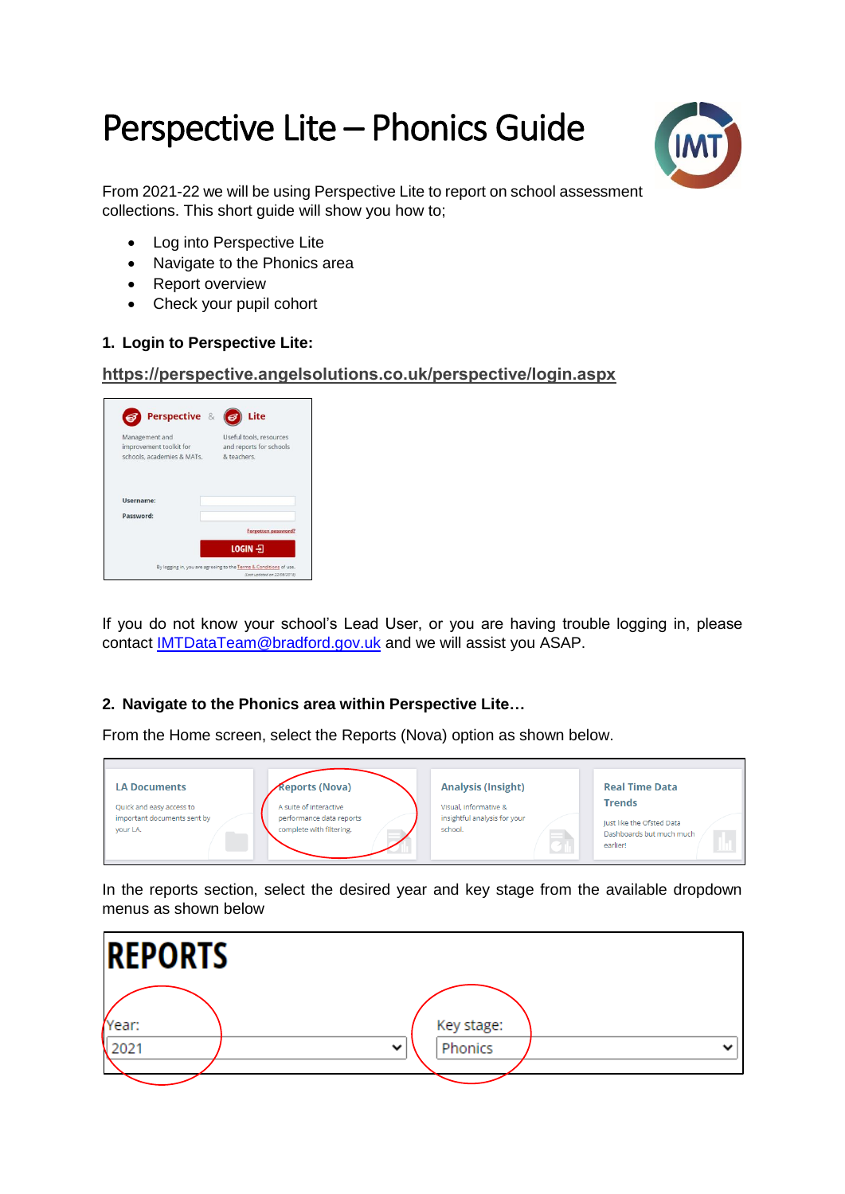# Perspective Lite – Phonics Guide



From 2021-22 we will be using Perspective Lite to report on school assessment collections. This short quide will show you how to:

- Log into Perspective Lite
- Navigate to the Phonics area
- Report overview
- Check your pupil cohort

## **1. Login to Perspective Lite:**

#### **<https://perspective.angelsolutions.co.uk/perspective/login.aspx>**

| Perspective &                                                           | Lite                                                              |
|-------------------------------------------------------------------------|-------------------------------------------------------------------|
| Management and<br>improvement toolkit for<br>schools, academies & MATs. | Useful tools, resources<br>and reports for schools<br>& teachers. |
| Username:                                                               |                                                                   |
| Password:                                                               | Forgotten password?                                               |
|                                                                         |                                                                   |
|                                                                         | $LOGIN - 2$                                                       |

If you do not know your school's Lead User, or you are having trouble logging in, please contact [IMTDataTeam@bradford.gov.uk](mailto:IMTDataTeam@bradford.gov.uk) and we will assist you ASAP.

# **2. Navigate to the Phonics area within Perspective Lite…**

From the Home screen, select the Reports (Nova) option as shown below.



In the reports section, select the desired year and key stage from the available dropdown menus as shown below

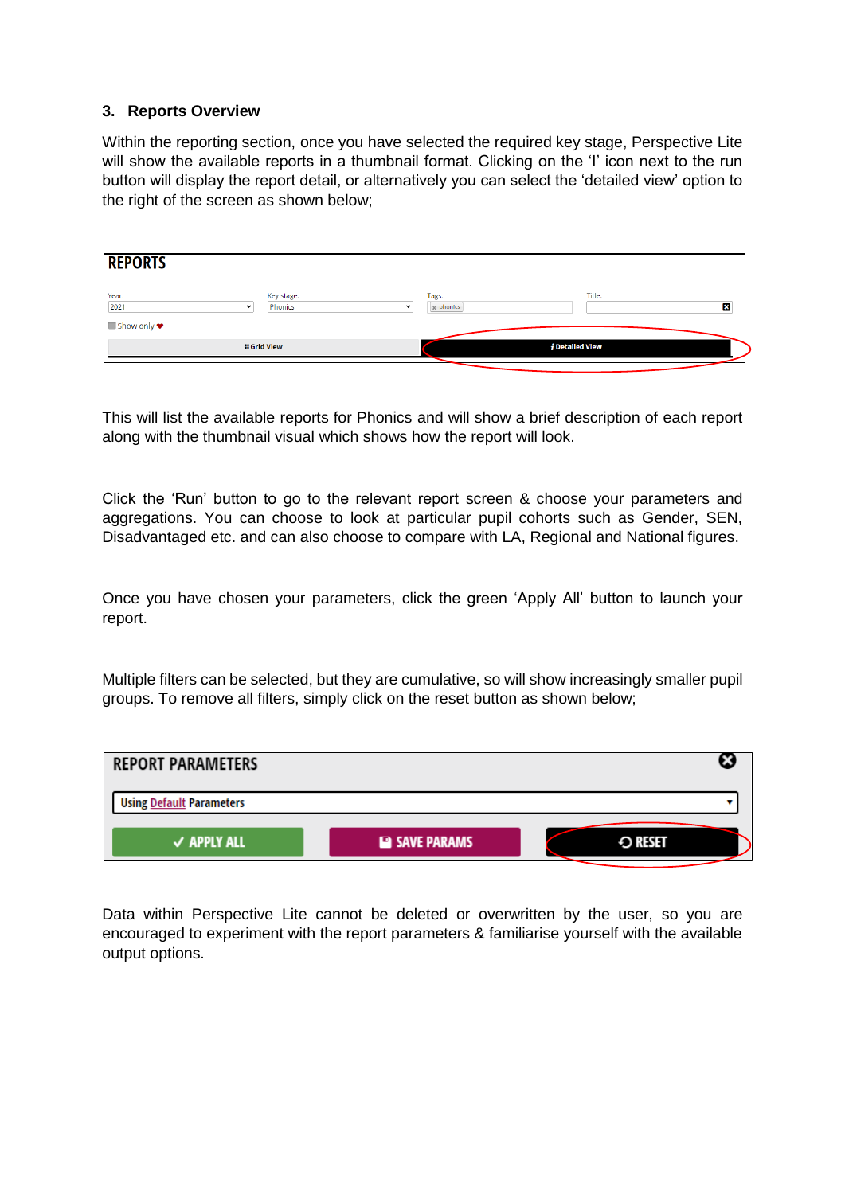### **3. Reports Overview**

Within the reporting section, once you have selected the required key stage, Perspective Lite will show the available reports in a thumbnail format. Clicking on the 'I' icon next to the run button will display the report detail, or alternatively you can select the 'detailed view' option to the right of the screen as shown below;

| <b>REPORTS</b>                |                                      |                     |                                |
|-------------------------------|--------------------------------------|---------------------|--------------------------------|
| Year:<br>2021<br>$\checkmark$ | Key stage:<br>Phonics<br>$\check{ }$ | Tags:<br>se phonics | Title:<br>図                    |
| ■ Show only ♥                 | <b>:: Grid View</b>                  |                     | $\boldsymbol{i}$ Detailed View |
|                               |                                      |                     |                                |

This will list the available reports for Phonics and will show a brief description of each report along with the thumbnail visual which shows how the report will look.

Click the 'Run' button to go to the relevant report screen & choose your parameters and aggregations. You can choose to look at particular pupil cohorts such as Gender, SEN, Disadvantaged etc. and can also choose to compare with LA, Regional and National figures.

Once you have chosen your parameters, click the green 'Apply All' button to launch your report.

Multiple filters can be selected, but they are cumulative, so will show increasingly smaller pupil groups. To remove all filters, simply click on the reset button as shown below;



Data within Perspective Lite cannot be deleted or overwritten by the user, so you are encouraged to experiment with the report parameters & familiarise yourself with the available output options.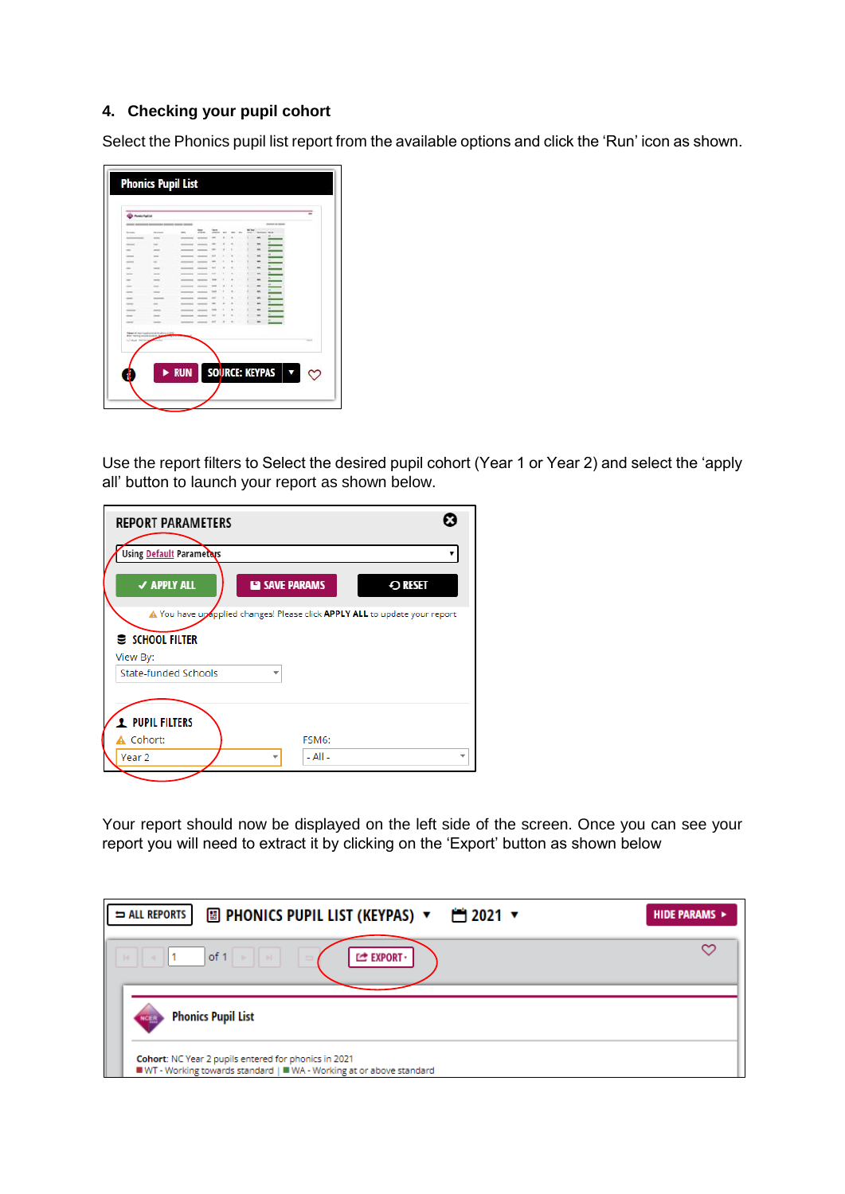## **4. Checking your pupil cohort**

Select the Phonics pupil list report from the available options and click the 'Run' icon as shown.

| Ponte Particip                               |               |   |  |  |                |   |  |               |
|----------------------------------------------|---------------|---|--|--|----------------|---|--|---------------|
|                                              |               |   |  |  |                |   |  |               |
|                                              |               | = |  |  |                |   |  |               |
|                                              | <b>COLOR</b>  |   |  |  |                |   |  |               |
|                                              | ÷             |   |  |  |                |   |  |               |
| $\sim$                                       | $\sim$        |   |  |  |                |   |  |               |
| -                                            |               |   |  |  |                |   |  |               |
| -                                            | ٠             |   |  |  |                |   |  |               |
|                                              | -             |   |  |  |                |   |  |               |
| $\cdots$                                     | -             |   |  |  |                |   |  |               |
| $\overline{\phantom{a}}$                     | $\frac{1}{2}$ |   |  |  |                |   |  |               |
| ÷                                            | -             |   |  |  |                |   |  |               |
| -<br>-                                       | -             |   |  |  |                |   |  |               |
| $\cdots$                                     | u             |   |  |  |                |   |  |               |
| -                                            | $-$           |   |  |  |                |   |  |               |
| in a                                         | -             |   |  |  |                | ۰ |  |               |
|                                              |               |   |  |  |                |   |  |               |
|                                              |               |   |  |  |                |   |  |               |
| For money country state in a<br><b>STAGE</b> |               |   |  |  |                |   |  | $\rightarrow$ |
|                                              |               |   |  |  |                |   |  |               |
|                                              |               |   |  |  |                |   |  |               |
|                                              |               |   |  |  |                |   |  |               |
|                                              |               |   |  |  | SOURCE: KEYPAS |   |  |               |

Use the report filters to Select the desired pupil cohort (Year 1 or Year 2) and select the 'apply all' button to launch your report as shown below.

| <b>REPORT PARAMETERS</b>                                                                      |               |
|-----------------------------------------------------------------------------------------------|---------------|
| Using Default Parameters                                                                      | ▼             |
| <b>√ APPLY ALL</b><br><b>EN SAVE PARAMS</b>                                                   | $\odot$ reset |
| A You have upopplied changes! Please click APPLY ALL to update your report<br>S SCHOOL FILTER |               |
| View By:                                                                                      |               |
| State-funded Schools<br>÷                                                                     |               |
|                                                                                               |               |
| <b>2</b> PUPIL FILTERS                                                                        |               |
| A Cohort:<br>FSM6:                                                                            |               |
| $-$ All $-$<br>Year 2                                                                         |               |

Your report should now be displayed on the left side of the screen. Once you can see your report you will need to extract it by clicking on the 'Export' button as shown below

| <b>E</b> PHONICS PUPIL LIST (KEYPAS) ▼ 門 2021 ▼<br>ALL REPORTS                                                                | HIDE PARAMS > |
|-------------------------------------------------------------------------------------------------------------------------------|---------------|
| of 1<br>$40$ H $\rm{J}$<br><b>EXPORT</b><br>$\sim$                                                                            |               |
| <b>Phonics Pupil List</b>                                                                                                     |               |
| Cohort: NC Year 2 pupils entered for phonics in 2021<br>■ WT - Working towards standard   ■ WA - Working at or above standard |               |